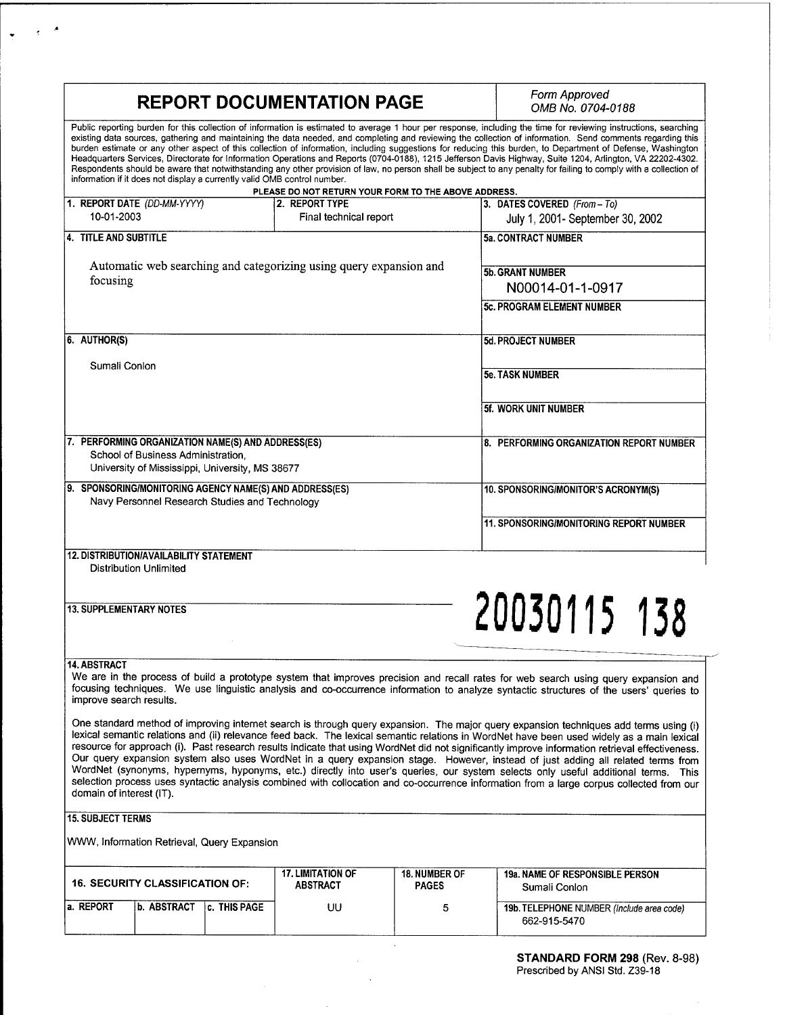|                                                                                                                                             | <b>REPORT DOCUMENTATION PAGE</b>                                                 | Form Approved<br>OMB No. 0704-0188                                                                                                                                                                                                                                                                                                                                                                                                                                                                                                                                                                                                                                                                                                                                                                                                                         |
|---------------------------------------------------------------------------------------------------------------------------------------------|----------------------------------------------------------------------------------|------------------------------------------------------------------------------------------------------------------------------------------------------------------------------------------------------------------------------------------------------------------------------------------------------------------------------------------------------------------------------------------------------------------------------------------------------------------------------------------------------------------------------------------------------------------------------------------------------------------------------------------------------------------------------------------------------------------------------------------------------------------------------------------------------------------------------------------------------------|
| information if it does not display a currently valid OMB control number.                                                                    |                                                                                  | Public reporting burden for this collection of information is estimated to average 1 hour per response, including the time for reviewing instructions, searching<br>existing data sources, gathering and maintaining the data needed, and completing and reviewing the collection of information. Send comments regarding this<br>burden estimate or any other aspect of this collection of information, including suggestions for reducing this burden, to Department of Defense, Washington<br>Headquarters Services, Directorate for Information Operations and Reports (0704-0188), 1215 Jefferson Davis Highway, Suite 1204, Arlington, VA 22202-4302.<br>Respondents should be aware that notwithstanding any other provision of law, no person shall be subject to any penalty for failing to comply with a collection of                           |
|                                                                                                                                             | PLEASE DO NOT RETURN YOUR FORM TO THE ABOVE ADDRESS.                             |                                                                                                                                                                                                                                                                                                                                                                                                                                                                                                                                                                                                                                                                                                                                                                                                                                                            |
| 1. REPORT DATE (DD-MM-YYYY)<br>10-01-2003                                                                                                   | 2. REPORT TYPE<br>Final technical report                                         | 3. DATES COVERED (From - To)<br>July 1, 2001- September 30, 2002                                                                                                                                                                                                                                                                                                                                                                                                                                                                                                                                                                                                                                                                                                                                                                                           |
| 4. TITLE AND SUBTITLE                                                                                                                       | <b>5a. CONTRACT NUMBER</b>                                                       |                                                                                                                                                                                                                                                                                                                                                                                                                                                                                                                                                                                                                                                                                                                                                                                                                                                            |
| Automatic web searching and categorizing using query expansion and<br>focusing                                                              | <b>5b. GRANT NUMBER</b><br>N00014-01-1-0917<br><b>5c. PROGRAM ELEMENT NUMBER</b> |                                                                                                                                                                                                                                                                                                                                                                                                                                                                                                                                                                                                                                                                                                                                                                                                                                                            |
| 6. AUTHOR(S)                                                                                                                                |                                                                                  | 5d. PROJECT NUMBER                                                                                                                                                                                                                                                                                                                                                                                                                                                                                                                                                                                                                                                                                                                                                                                                                                         |
| Sumali Conlon                                                                                                                               |                                                                                  | <b>5e. TASK NUMBER</b>                                                                                                                                                                                                                                                                                                                                                                                                                                                                                                                                                                                                                                                                                                                                                                                                                                     |
|                                                                                                                                             |                                                                                  | 5f. WORK UNIT NUMBER                                                                                                                                                                                                                                                                                                                                                                                                                                                                                                                                                                                                                                                                                                                                                                                                                                       |
| 7. PERFORMING ORGANIZATION NAME(S) AND ADDRESS(ES)<br>School of Business Administration.<br>University of Mississippi, University, MS 38677 | 8. PERFORMING ORGANIZATION REPORT NUMBER                                         |                                                                                                                                                                                                                                                                                                                                                                                                                                                                                                                                                                                                                                                                                                                                                                                                                                                            |
| 9. SPONSORING/MONITORING AGENCY NAME(S) AND ADDRESS(ES)<br>Navy Personnel Research Studies and Technology                                   |                                                                                  | 10. SPONSORING/MONITOR'S ACRONYM(S)                                                                                                                                                                                                                                                                                                                                                                                                                                                                                                                                                                                                                                                                                                                                                                                                                        |
|                                                                                                                                             | <b>11. SPONSORING/MONITORING REPORT NUMBER</b>                                   |                                                                                                                                                                                                                                                                                                                                                                                                                                                                                                                                                                                                                                                                                                                                                                                                                                                            |
| <b>12. DISTRIBUTION/AVAILABILITY STATEMENT</b><br><b>Distribution Unlimited</b>                                                             |                                                                                  |                                                                                                                                                                                                                                                                                                                                                                                                                                                                                                                                                                                                                                                                                                                                                                                                                                                            |
| <b>13. SUPPLEMENTARY NOTES</b>                                                                                                              |                                                                                  | 20030115 138                                                                                                                                                                                                                                                                                                                                                                                                                                                                                                                                                                                                                                                                                                                                                                                                                                               |
| 14. ABSTRACT                                                                                                                                |                                                                                  |                                                                                                                                                                                                                                                                                                                                                                                                                                                                                                                                                                                                                                                                                                                                                                                                                                                            |
| improve search results.                                                                                                                     |                                                                                  | We are in the process of build a prototype system that improves precision and recall rates for web search using query expansion and<br>focusing techniques. We use linguistic analysis and co-occurrence information to analyze syntactic structures of the users' queries to                                                                                                                                                                                                                                                                                                                                                                                                                                                                                                                                                                              |
| domain of interest (IT).                                                                                                                    |                                                                                  | One standard method of improving internet search is through query expansion. The major query expansion techniques add terms using (i)<br>lexical semantic relations and (ii) relevance feed back. The lexical semantic relations in WordNet have been used widely as a main lexical<br>resource for approach (i). Past research results indicate that using WordNet did not significantly improve information retrieval effectiveness.<br>Our query expansion system also uses WordNet in a query expansion stage. However, instead of just adding all related terms from<br>WordNet (synonyms, hypernyms, hyponyms, etc.) directly into user's queries, our system selects only useful additional terms. This<br>selection process uses syntactic analysis combined with collocation and co-occurrence information from a large corpus collected from our |
| <b>15. SUBJECT TERMS</b>                                                                                                                    |                                                                                  |                                                                                                                                                                                                                                                                                                                                                                                                                                                                                                                                                                                                                                                                                                                                                                                                                                                            |

WWW, Information Retrieval, Query Expansion

A ÷

 $\tilde{\phantom{a}}$ 

| <b>16. SECURITY CLASSIFICATION OF:</b> |                    |                      | <b>17. LIMITATION OF</b> | <b>18. NUMBER OF</b> | <b>19a. NAME OF RESPONSIBLE PERSON</b>                    |  |
|----------------------------------------|--------------------|----------------------|--------------------------|----------------------|-----------------------------------------------------------|--|
|                                        |                    |                      | <b>ABSTRACT</b>          | <b>PAGES</b>         | Sumali Conlon                                             |  |
| la. REPORT                             | <b>b. ABSTRACT</b> | <b>Ic. THIS PAGE</b> | UU                       |                      | 19b. TELEPHONE NUMBER (Include area code)<br>662-915-5470 |  |

 $\bar{z}$ 

 $\bar{\gamma}$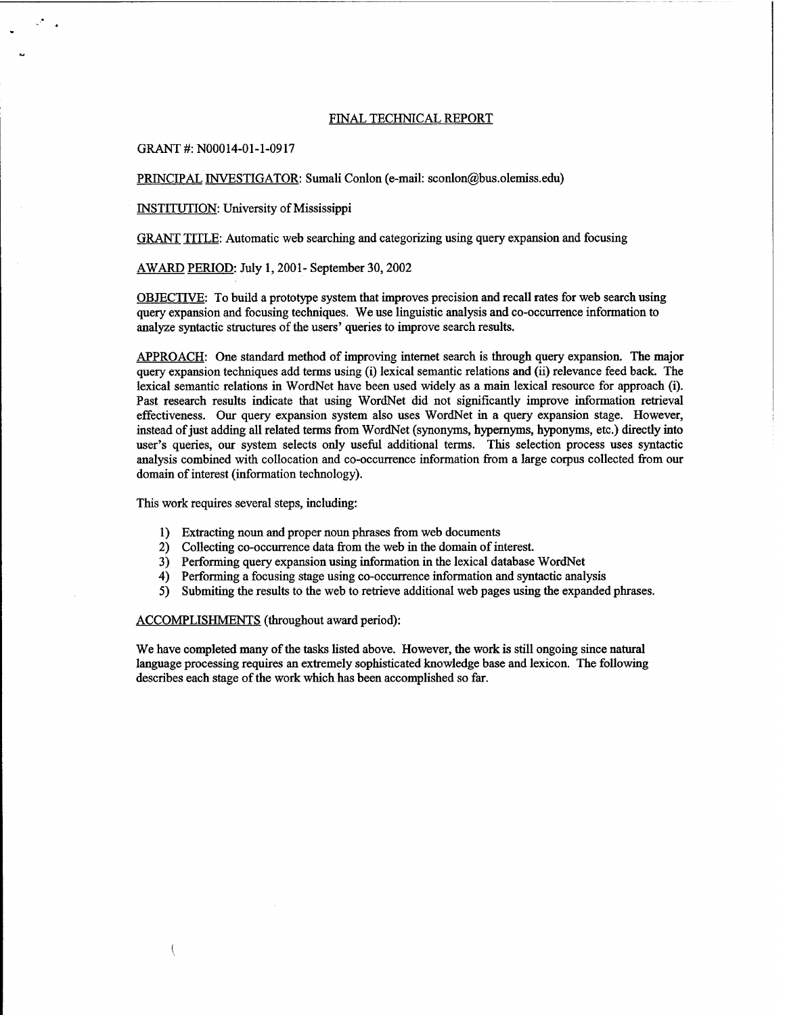### FINAL TECHNICAL REPORT

GRANT #: N00014-01-1-0917

PRINCIPAL INVESTIGATOR: Sumali Conlon (e-mail: sconlon@bus.olemiss.edu)

#### INSTITUTION: University of Mississippi

GRANT TITLE: Automatic web searching and categorizing using query expansion and focusing

AWARD PERIOD: My 1,2001- September 30,2002

OBJECTIVE: To build a prototype system that improves precision and recall rates for web search using query expansion and focusing techniques. We use linguistic analysis and co-occurrence information to analyze syntactic structures of the users' queries to improve search results.

APPROACH: One standard method of improving internet search is through query expansion. The major query expansion techniques add terms using (i) lexical semantic relations and (ii) relevance feed back. The lexical semantic relations in WordNet have been used widely as a main lexical resource for approach (i). Past research results indicate that using WordNet did not significantly improve information retrieval effectiveness. Our query expansion system also uses WordNet in a query expansion stage. However, instead of just adding all related terms from WordNet (synonyms, hypernyms, hyponyms, etc.) directly into user's queries, our system selects only useful additional terms. This selection process uses syntactic analysis combined with collocation and co-occurrence information from a large corpus collected from our domain of interest (information technology).

This work requires several steps, including:

- 1) Extracting noun and proper noun phrases from web documents
- 2) Collecting co-occurrence data from the web in the domain of interest.
- 3) Performing query expansion using information in the lexical database WordNet
- 4) Performing a focusing stage using co-occurrence information and syntactic analysis
- 5) Submiting the results to the web to retrieve additional web pages using the expanded phrases.

# ACCOMPLISHMENTS (throughout award period):

 $\langle$ 

We have completed many of the tasks listed above. However, the work is still ongoing since natural language processing requires an extremely sophisticated knowledge base and lexicon. The following describes each stage of the work which has been accomplished so far.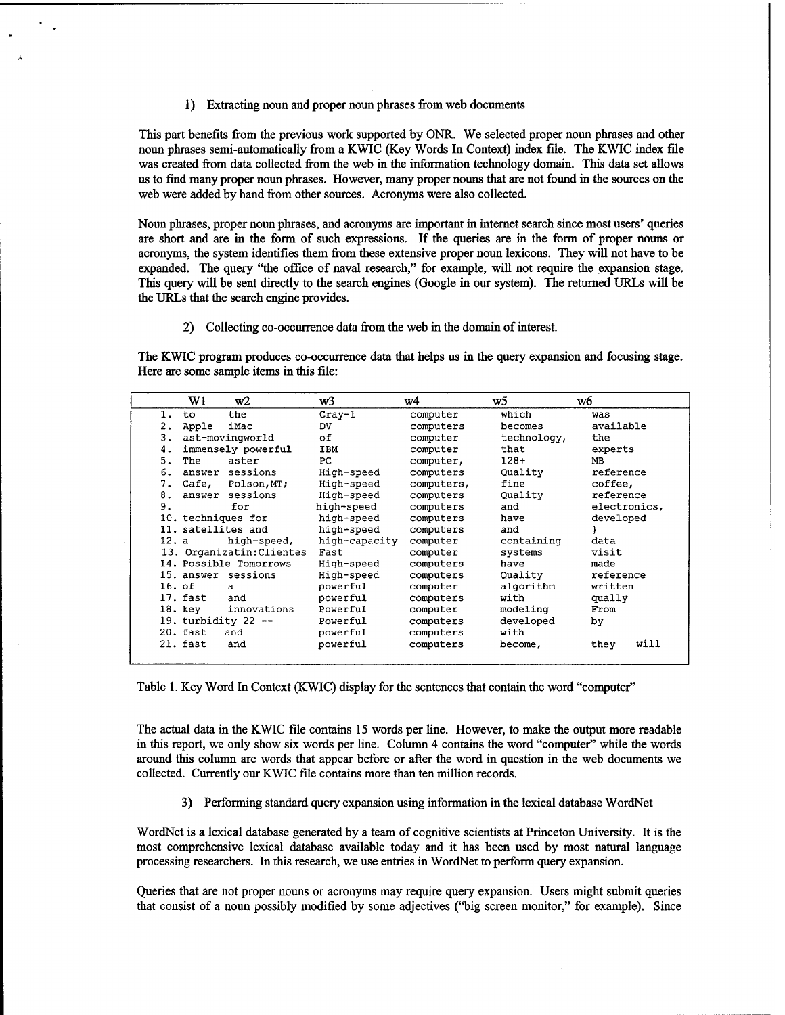1) Extracting noun and proper noun phrases from web documents

This part benefits from the previous work supported by ONR. We selected proper noun phrases and other noun phrases semi-automatically from a KWIC (Key Words In Context) index file. The KWIC index file was created from data collected from the web in the information technology domain. This data set allows us to find many proper noun phrases. However, many proper nouns that are not found in the sources on the web were added by hand from other sources. Acronyms were also collected.

Noun phrases, proper noun phrases, and acronyms are important in internet search since most users' queries are short and are in the form of such expressions. If the queries are in the form of proper nouns or acronyms, the system identifies them from these extensive proper noun lexicons. They will not have to be expanded. The query "the office of naval research," for example, will not require the expansion stage. This query will be sent directly to the search engines (Google in our system). The returned URLs will be the URLs that the search engine provides.

2) Collecting co-occurrence data from the web in the domain of interest.

The KWIC program produces co-occurrence data that helps us in the query expansion and focusing stage. Here are some sample items in this file:

|        | W1                 | w2                        | w3            | w4         | w5          | w6.          |
|--------|--------------------|---------------------------|---------------|------------|-------------|--------------|
| 1.     | to                 | the                       | $Cray-1$      | computer   | which       | was          |
| 2.     | Apple              | iMac                      | DV            | computers  | becomes     | available    |
| 3.     |                    | ast-movingworld           | оf            | computer   | technology, | the          |
| 4.     |                    | immensely powerful        | IBM           | computer   | that        | experts      |
| 5.     | The                | aster                     | PC            | computer,  | $128+$      | MB           |
| 6.     | answer             | sessions                  | High-speed    | computers  | Quality     | reference    |
| 7.     |                    | Cafe, Polson, MT;         | High-speed    | computers, | fine        | coffee,      |
| 8.     |                    | answer sessions           | High-speed    | computers  | Quality     | reference    |
| 9.     |                    | for                       | high-speed    | computers  | and         | electronics, |
|        | 10. techniques for |                           | high-speed    | computers  | have        | developed    |
|        |                    | 11. satellites and        | high-speed    | computers  | and         |              |
| 12. a  |                    | high-speed,               | high-capacity | computer   | containing  | data         |
|        |                    | 13. Organizatin: Clientes | Fast          | computer   | systems     | visit        |
|        |                    | 14. Possible Tomorrows    | High-speed    | computers  | have        | made         |
|        |                    | 15 answer sessions        | High-speed    | computers  | Ouality     | reference    |
| 16. of |                    | a                         | powerful      | computer   | algorithm   | written      |
|        | 17. fast           | and                       | powerful      | computers  | with        | qually       |
|        | $18.$ key          | innovations               | Powerful      | computer   | modeling    | From         |
|        |                    | 19. turbidity 22 $-$      | Powerful      | computers  | developed   | bγ           |
|        | 20. fast           | and                       | powerful      | computers  | with        |              |
|        | 21. fast           | and                       | powerful      | computers  | become,     | will<br>they |

Table 1. Key Word In Context (KWIC) display for the sentences that contain the word "computer"

The actual data in the KWIC file contains 15 words per line. However, to make the output more readable in this report, we only show six words per line. Column 4 contains the word "computer" while the words around this column are words that appear before or after the word in question in the web documents we collected. Currently our KWIC file contains more than ten million records.

3) Performing standard query expansion using information in the lexical database WordNet

WordNet is a lexical database generated by a team of cognitive scientists at Princeton University. It is the most comprehensive lexical database available today and it has been used by most natural language processing researchers. In this research, we use entries in WordNet to perform query expansion.

Queries that are not proper nouns or acronyms may require query expansion. Users might submit queries that consist of a noun possibly modified by some adjectives ("big screen monitor," for example). Since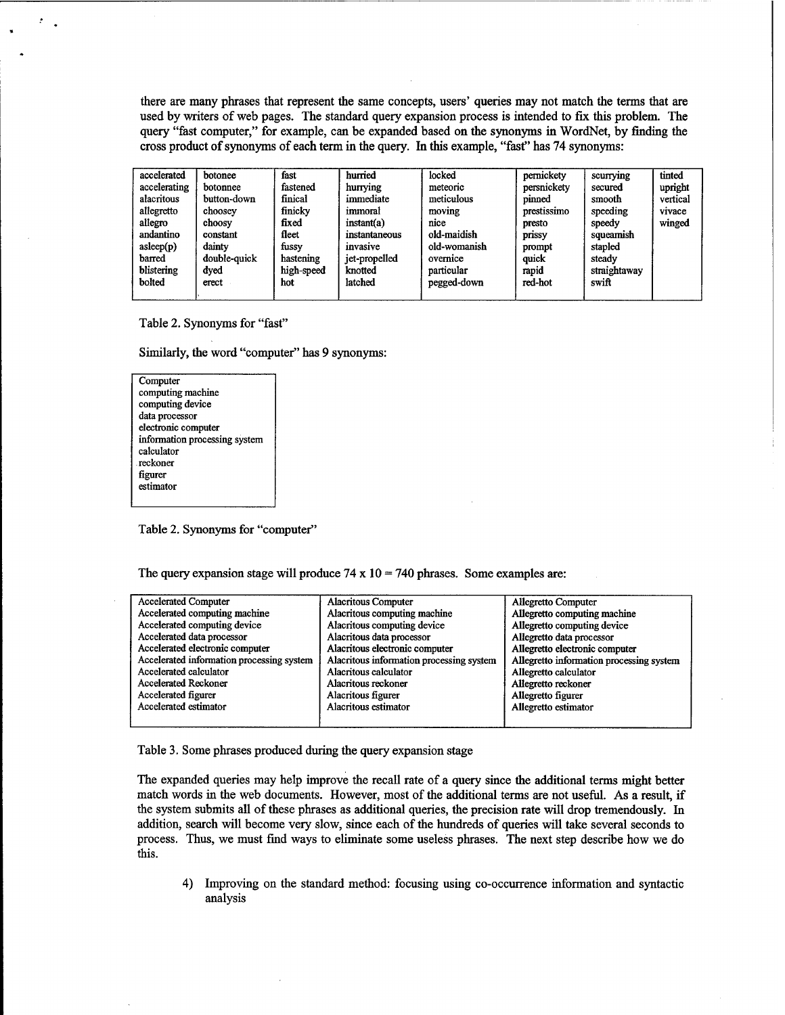there are many phrases that represent the same concepts, users' queries may not match the terms that are used by writers of web pages. The standard query expansion process is intended to fix this problem. The query "fast computer," for example, can be expanded based on the synonyms in WordNet, by finding the cross product of synonyms of each term in the query. In this example, "fast" has 74 synonyms:

| accelerated<br>accelerating<br>alacritous<br>allegretto<br>allegro<br>andantino<br>asleep(p)<br>barred<br>blistering<br>bolted | botonee<br>botonnee<br>button-down<br>choosey<br>choosy<br>constant<br>dainty<br>double-quick<br>dved<br>erect | fast<br>fastened<br>finical<br>finicky<br>fixed<br>fleet<br>fussy<br>hastening<br>high-speed<br>hot | hurried<br>hurrving<br>immediate<br>immoral<br>instant(a)<br>instantaneous<br>invasive<br>jet-propelled<br>knotted<br>latched | locked<br>meteoric<br>meticulous<br>moving<br>nice<br>old-maidish<br>old-womanish<br>overnice<br>particular<br>pegged-down | pernickety<br>persnickety<br>pinned<br>prestissimo<br>presto<br>prissy<br>prompt<br>quick<br>rapid<br>red-hot | scurrying<br>secured<br>smooth<br>speeding<br>speedy<br>squeamish<br>stapled<br>steady<br>straightaway<br>swift | tinted<br>upright<br>vertical<br>vivace<br>winged |
|--------------------------------------------------------------------------------------------------------------------------------|----------------------------------------------------------------------------------------------------------------|-----------------------------------------------------------------------------------------------------|-------------------------------------------------------------------------------------------------------------------------------|----------------------------------------------------------------------------------------------------------------------------|---------------------------------------------------------------------------------------------------------------|-----------------------------------------------------------------------------------------------------------------|---------------------------------------------------|
|--------------------------------------------------------------------------------------------------------------------------------|----------------------------------------------------------------------------------------------------------------|-----------------------------------------------------------------------------------------------------|-------------------------------------------------------------------------------------------------------------------------------|----------------------------------------------------------------------------------------------------------------------------|---------------------------------------------------------------------------------------------------------------|-----------------------------------------------------------------------------------------------------------------|---------------------------------------------------|

Table 2. Synonyms for "fast"

Similarly, the word "computer" has 9 synonyms:

**Computer** computing machine computing device data processor electronic computer information processing system calculator reckoner figurer estimator

Table 2. Synonyms for "computer"

The query expansion stage will produce 74 x  $10 = 740$  phrases. Some examples are:

| <b>Accelerated Computer</b>               | <b>Alacritous Computer</b>               | <b>Allegretto Computer</b>               |
|-------------------------------------------|------------------------------------------|------------------------------------------|
| Accelerated computing machine             | Alacritous computing machine             | Allegretto computing machine             |
| Accelerated computing device              | Alacritous computing device              | Allegretto computing device              |
| Accelerated data processor                | Alacritous data processor                | Allegretto data processor                |
| Accelerated electronic computer           | Alacritous electronic computer           | Allegretto electronic computer           |
| Accelerated information processing system | Alacritous information processing system | Allegretto information processing system |
| Accelerated calculator                    | Alacritous calculator                    | Allegretto calculator                    |
| <b>Accelerated Reckoner</b>               | Alacritous reckoner                      | Allegretto reckoner                      |
| Accelerated figurer                       | Alacritous figurer                       | Allegretto figurer                       |
| Accelerated estimator                     | Alacritous estimator                     | Allegretto estimator                     |
|                                           |                                          |                                          |

Table 3. Some phrases produced during the query expansion stage

The expanded queries may help improve the recall rate of a query since the additional terms might better match words in the web documents. However, most of the additional terms are not useful. As a result, if the system submits all of these phrases as additional queries, the precision rate will drop tremendously. In addition, search will become very slow, since each of the hundreds of queries will take several seconds to process. Thus, we must find ways to eliminate some useless phrases. The next step describe how we do this.

4) Improving on the standard method: focusing using co-occurrence information and syntactic analysis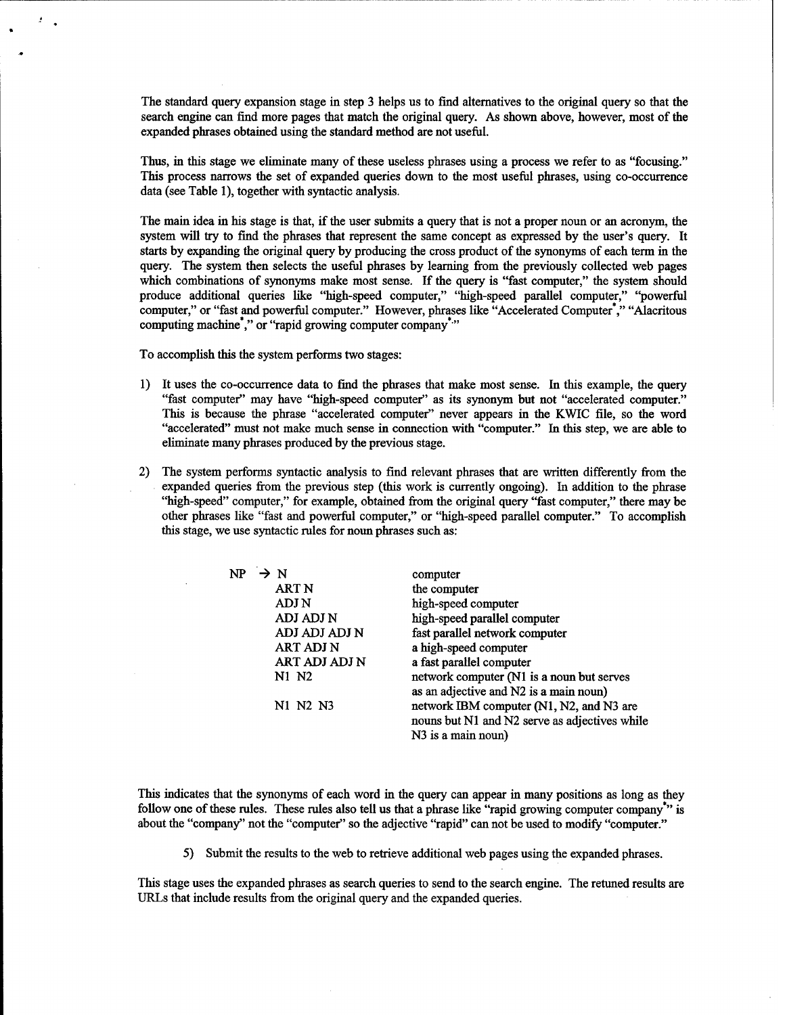The standard query expansion stage in step 3 helps us to find alternatives to the original query so that the search engine can find more pages that match the original query. As shown above, however, most of the expanded phrases obtained using the standard method are not useful.

Thus, in this stage we eliminate many of these useless phrases using a process we refer to as "focusing." This process narrows the set of expanded queries down to the most useful phrases, using co-occurrence data (see Table 1), together with syntactic analysis.

The main idea in his stage is that, if the user submits a query that is not a proper noun or an acronym, the system will try to find the phrases that represent the same concept as expressed by the user's query. It starts by expanding the original query by producing the cross product of the synonyms of each term in the query. The system then selects the useful phrases by learning from the previously collected web pages which combinations of synonyms make most sense. If the query is "fast computer," the system should produce additional queries like "high-speed computer," "high-speed parallel computer," "powerful computer," or "fast and powerful computer." However, phrases like "Accelerated Computer\*," "Alacritous computing machine<sup>\*</sup>," or "rapid growing computer company<sup>\*</sup>."

To accomplish this the system performs two stages:

- 1) It uses the co-occurrence data to find the phrases that make most sense. In this example, the query "fast computer" may have "high-speed computer" as its synonym but not "accelerated computer." This is because the phrase "accelerated computer" never appears in the KWIC file, so the word "accelerated" must not make much sense in connection with "computer." In this step, we are able to eliminate many phrases produced by the previous stage.
- 2) The system performs syntactic analysis to find relevant phrases that are written differently from the expanded queries from the previous step (this work is currently ongoing). In addition to the phrase "high-speed" computer," for example, obtained from the original query "fast computer," there may be other phrases like "fast and powerful computer," or "high-speed parallel computer." To accomplish this stage, we use syntactic rules for noun phrases such as:

| → N           | computer                                      |
|---------------|-----------------------------------------------|
| <b>ART N</b>  | the computer                                  |
| ADJ N         | high-speed computer                           |
| ADJ ADJ N     | high-speed parallel computer                  |
| ADJ ADJ ADJ N | fast parallel network computer                |
| ART ADJ N     | a high-speed computer                         |
| ART ADJ ADJ N | a fast parallel computer                      |
| N1 N2         | network computer (N1 is a noun but serves     |
|               | as an adjective and N2 is a main noun)        |
| N1 N2 N3      | network IBM computer (N1, N2, and N3 are      |
|               | nouns but N1 and N2 serve as adjectives while |
|               | N3 is a main noun)                            |
|               |                                               |

This indicates that the synonyms of each word in the query can appear in many positions as long as they follow one ofthese rules. These rules also tell us that a phrase like "rapid growing computer company\*" is about the "company" not the "computer" so the adjective "rapid" can not be used to modify "computer."

5) Submit the results to the web to retrieve additional web pages using the expanded phrases.

This stage uses the expanded phrases as search queries to send to the search engine. The retuned results are URLs that include results from the original query and the expanded queries.